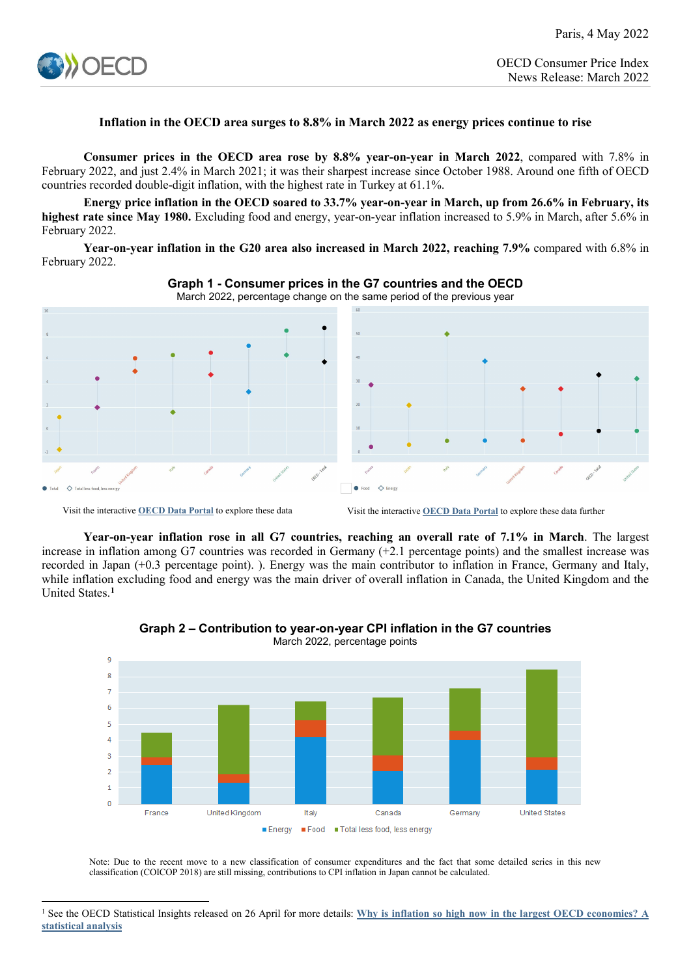

## **Inflation in the OECD area surges to 8.8% in March 2022 as energy prices continue to rise**

**Consumer prices in the OECD area rose by 8.8% year-on-year in March 2022**, compared with 7.8% in February 2022, and just 2.4% in March 2021; it was their sharpest increase since October 1988. Around one fifth of OECD countries recorded double-digit inflation, with the highest rate in Turkey at 61.1%.

**Energy price inflation in the OECD soared to 33.7% year-on-year in March, up from 26.6% in February, its highest rate since May 1980.** Excluding food and energy, year-on-year inflation increased to 5.9% in March, after 5.6% in February 2022.

**Year-on-year inflation in the G20 area also increased in March 2022, reaching 7.9%** compared with 6.8% in February 2022.





Visit the interactive **[OECD Data Portal](https://data.oecd.org/chart/6Hoq)** to explore these data Visit the interactive **[OECD Data Portal](https://data.oecd.org/chart/6Hor)** to explore these data further

**Year-on-year inflation rose in all G7 countries, reaching an overall rate of 7.1% in March**. The largest increase in inflation among G7 countries was recorded in Germany (+2.1 percentage points) and the smallest increase was recorded in Japan (+0.3 percentage point). ). Energy was the main contributor to inflation in France, Germany and Italy, while inflation excluding food and energy was the main driver of overall inflation in Canada, the United Kingdom and the United States.**[1](#page-0-0)**



**Graph 2 – Contribution to year-on-year CPI inflation in the G7 countries**

March 2022, percentage points

Note: Due to the recent move to a new classification of consumer expenditures and the fact that some detailed series in this new classification (COICOP 2018) are still missing, contributions to CPI inflation in Japan cannot be calculated.

<span id="page-0-0"></span><sup>&</sup>lt;u>.</u> <sup>1</sup> See the OECD Statistical Insights released on 26 April for more details: **[Why is inflation so high now in the largest OECD economies? A](https://www.oecd.org/sdd/prices-ppp/statistical-insights-why-is-inflation-so-high-now-in-the-largest-oecd-economies-a-statistical-analysis.htm)  [statistical analysis](https://www.oecd.org/sdd/prices-ppp/statistical-insights-why-is-inflation-so-high-now-in-the-largest-oecd-economies-a-statistical-analysis.htm)**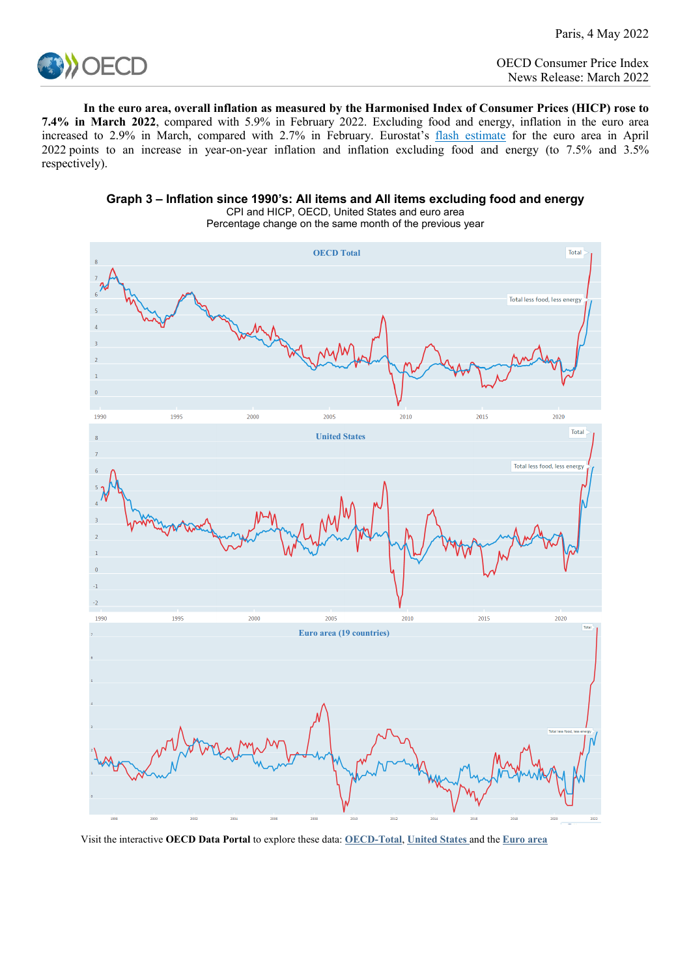

**In the euro area, overall inflation as measured by the Harmonised Index of Consumer Prices (HICP) rose to 7.4% in March 2022**, compared with 5.9% in February 2022. Excluding food and energy, inflation in the euro area increased to 2.9% in March, compared with 2.7% in February. Eurostat's [flash estimate](https://ec.europa.eu/eurostat/documents/2995521/14497757/2-29042022-AP-EN.pdf/664dc8bd-4460-46f6-69ea-04c1763abd28?t=1651154566195) for the euro area in April 2022 points to an increase in year-on-year inflation and inflation excluding food and energy (to 7.5% and 3.5% respectively).



**Graph 3 – Inflation since 1990's: All items and All items excluding food and energy**

CPI and HICP, OECD, United States and euro area Percentage change on the same month of the previous year

Visit the interactive **OECD Data Portal** to explore these data: **[OECD-Total](https://data.oecd.org/chart/6Hu8)**, **[United States](https://data.oecd.org/chart/6Hck)** and the **[Euro area](https://data.oecd.org/chart/6Hcm)**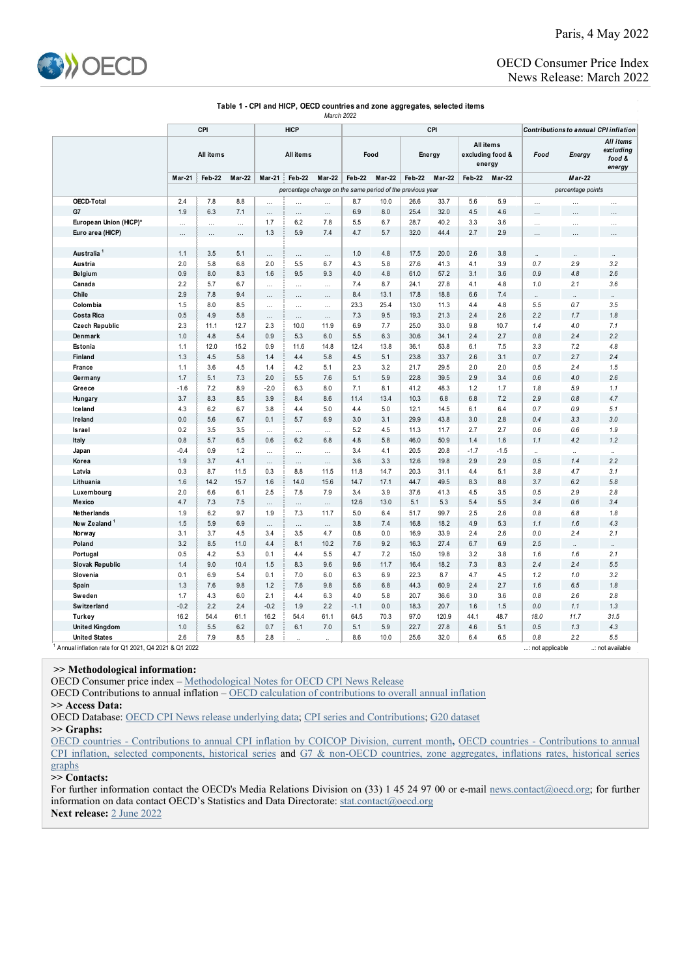

## OECD Consumer Price Index News Release: March 2022

| Table 1 - CPI and HICP, OECD countries and zone aggregates, selected items |  |
|----------------------------------------------------------------------------|--|
| March 2022                                                                 |  |

|                           | CPI<br><b>HICP</b>                                        |            |               |                  |                 |                 |                         |             | CPI                     |                                         | Contributions to annual CPI inflation |            |                      |                                            |                      |  |
|---------------------------|-----------------------------------------------------------|------------|---------------|------------------|-----------------|-----------------|-------------------------|-------------|-------------------------|-----------------------------------------|---------------------------------------|------------|----------------------|--------------------------------------------|----------------------|--|
|                           | All items                                                 |            | All items     |                  |                 | Food            |                         | Energy      |                         | All items<br>excluding food &<br>energy |                                       | Food       | Energy               | All items<br>excluding<br>food &<br>energy |                      |  |
|                           | Mar-21                                                    | Feb-22     | <b>Mar-22</b> | <b>Mar-21</b>    | Feb-22          | <b>Mar-22</b>   | Feb-22<br><b>Mar-22</b> |             | Feb-22<br><b>Mar-22</b> |                                         | Feb-22<br><b>Mar-22</b>               |            |                      |                                            |                      |  |
|                           | percentage change on the same period of the previous year |            |               |                  |                 |                 |                         |             |                         |                                         |                                       |            | percentage points    |                                            |                      |  |
| <b>OECD-Total</b>         | 2.4                                                       | 7.8        | 8.8           | $\cdots$         | $\cdots$        | $\cdots$        | 8.7                     | 10.0        | 26.6                    | 33.7                                    | 5.6                                   | 5.9        | $\cdots$             | $\cdots$                                   | $\cdots$             |  |
| G7                        | 1.9                                                       | 6.3        | 7.1           | $\cdots$         | $\cdots$        | $\cdots$        | 6.9                     | 8.0         | 25.4                    | 32.0                                    | 4.5                                   | 4.6        |                      | $\ddotsc$                                  |                      |  |
| European Union (HICP)*    | $\cdots$                                                  | $\cdots$   | $\cdots$      | 1.7              | 6.2             | 7.8             | 5.5                     | 6.7         | 28.7                    | 40.2                                    | 3.3                                   | 3.6        | $\cdots$             | $\cdots$                                   | $\cdots$             |  |
| Euro area (HICP)          | .                                                         | $\cdots$   | $\cdots$      | 1.3              | 5.9             | 7.4             | 4.7                     | 5.7         | 32.0                    | 44.4                                    | 2.7                                   | 2.9        |                      | $\cdots$                                   |                      |  |
|                           |                                                           |            |               |                  |                 |                 |                         |             |                         |                                         |                                       |            |                      |                                            |                      |  |
| Australia <sup>1</sup>    | 1.1                                                       | 3.5        | 5.1           | $\cdots$         | $\cdots$        | $\cdots$        | 1.0                     | 4.8         | 17.5                    | 20.0                                    | 2.6                                   | 3.8        |                      |                                            | $\ddot{\phantom{a}}$ |  |
| Austria                   | 2.0                                                       | 5.8        | 6.8           | 2.0              | 5.5             | 6.7             | 4.3                     | 5.8         | 27.6                    | 41.3                                    | 4.1                                   | 3.9        | 0.7                  | 2.9                                        | 3.2                  |  |
| <b>Belgium</b>            | 0.9                                                       | 8.0        | 8.3           | 1.6              | 9.5             | 9.3             | 4.0                     | 4.8         | 61.0                    | 57.2                                    | 3.1                                   | 3.6        | 0.9                  | 4.8                                        | 2.6                  |  |
| Canada                    | 2.2                                                       | 5.7        | 6.7           |                  | $\cdots$        | $\cdots$        | 7.4                     | 8.7         | 24.1                    | 27.8                                    | 4.1                                   | 4.8        | 1.0                  | 2.1                                        | 3.6                  |  |
| Chile                     | 2.9                                                       | 7.8        | 9.4           | $\cdots$         | $\cdots$        | $\cdots$        | 8.4                     | 13.1        | 17.8                    | 18.8                                    | 6.6                                   | 7.4        |                      |                                            |                      |  |
| Colombia                  | 1.5                                                       | 8.0        | 8.5           |                  | $\cdots$        | $\cdots$        | 23.3                    | 25.4        | 13.0                    | 11.3                                    | 4.4                                   | 4.8        | 5.5                  | 0.7                                        | 3.5                  |  |
| Costa Rica                | 0.5                                                       | 4.9        | 5.8           | $\ldots$         | $\cdots$        | $\ldots$        | 7.3                     | 9.5         | 19.3                    | 21.3                                    | 2.4                                   | 2.6        | 2.2                  | 1.7                                        | 1.8                  |  |
| <b>Czech Republic</b>     | 2.3                                                       | 11.1       | 12.7          | 2.3              | 10.0            | 11.9            | 6.9                     | 7.7         | 25.0                    | 33.0                                    | 9.8                                   | 10.7       | 1.4                  | 4.0                                        | 7.1                  |  |
| Denmark                   | 1.0                                                       | 4.8        | 5.4           | 0.9              | 5.3             | 6.0             | 5.5                     | 6.3         | 30.6                    | 34.1                                    | 2.4                                   | 2.7        | 0.8                  | 2.4                                        | 2.2                  |  |
| Estonia                   | 1.1<br>1.3                                                | 12.0       | 15.2          | 0.9              | 11.6            | 14.8            | 12.4                    | 13.8<br>5.1 | 36.1                    | 53.8                                    | 6.1                                   | 7.5        | 3.3<br>0.7           | 7.2<br>2.7                                 | 4.8<br>2.4           |  |
| Finland                   | 1.1                                                       | 4.5<br>3.6 | 5.8<br>4.5    | 1.4              | 4.4<br>4.2      | 5.8             | 4.5<br>2.3              | 3.2         | 23.8                    | 33.7<br>29.5                            | 2.6<br>2.0                            | 3.1<br>2.0 | 0.5                  | 2.4                                        | 1.5                  |  |
| France                    | 1.7                                                       | 5.1        |               | 1.4              |                 | 5.1             | 5.1                     | 5.9         | 21.7<br>22.8            | 39.5                                    | 2.9                                   |            | 0.6                  | 4.0                                        | 2.6                  |  |
| Germany<br>Greece         | $-1.6$                                                    | 7.2        | 7.3<br>8.9    | 2.0<br>$-2.0$    | 5.5<br>6.3      | 7.6<br>8.0      | 7.1                     | 8.1         | 41.2                    | 48.3                                    | 1.2                                   | 3.4<br>1.7 | 1.8                  | 5.9                                        | 1.1                  |  |
|                           | 3.7                                                       | 8.3        | 8.5           | 3.9              | 8.4             | 8.6             | 11.4                    | 13.4        | 10.3                    | 6.8                                     | 6.8                                   | 7.2        | 2.9                  | 0.8                                        | 4.7                  |  |
| Hungary<br><b>Iceland</b> | 4.3                                                       | 6.2        | 6.7           | 3.8              | 4.4             | 5.0             | 4.4                     | 5.0         | 12.1                    | 14.5                                    | 6.1                                   | 6.4        | 0.7                  | 0.9                                        | 5.1                  |  |
| Ireland                   | 0.0                                                       | 5.6        | 6.7           | 0.1              | 5.7             | 6.9             | 3.0                     | 3.1         | 29.9                    | 43.8                                    | 3.0                                   | 2.8        | 0.4                  | 3.3                                        | 3.0                  |  |
| Israel                    | 0.2                                                       | 3.5        | 3.5           |                  |                 |                 | 5.2                     | 4.5         | 11.3                    | 11.7                                    | 2.7                                   | 2.7        | 0.6                  | 0.6                                        | 1.9                  |  |
| Italy                     | 0.8                                                       | 5.7        | 6.5           | $\ddotsc$<br>0.6 | $\cdots$<br>6.2 | $\cdots$<br>6.8 | 4.8                     | 5.8         | 46.0                    | 50.9                                    | 1.4                                   | 1.6        | 1.1                  | 4.2                                        | 1.2                  |  |
| Japan                     | $-0.4$                                                    | 0.9        | 1.2           |                  | $\cdots$        | $\cdots$        | 3.4                     | 4.1         | 20.5                    | 20.8                                    | $-1.7$                                | $-1.5$     | $\ddot{\phantom{a}}$ | $\ddot{\phantom{a}}$                       |                      |  |
| Korea                     | 1.9                                                       | 3.7        | 4.1           | $\ddotsc$        | $\cdots$        | $\cdots$        | 3.6                     | 3.3         | 12.6                    | 19.8                                    | 2.9                                   | 2.9        | 0.5                  | 1.4                                        | 2.2                  |  |
| Latvia                    | 0.3                                                       | 8.7        | 11.5          | 0.3              | 8.8             | 11.5            | 11.8                    | 14.7        | 20.3                    | 31.1                                    | 4.4                                   | 5.1        | 3.8                  | 4.7                                        | 3.1                  |  |
| Lithuania                 | 1.6                                                       | 14.2       | 15.7          | 1.6              | 14.0            | 15.6            | 14.7                    | 17.1        | 44.7                    | 49.5                                    | 8.3                                   | 8.8        | 3.7                  | 6.2                                        | 5.8                  |  |
| Luxembourg                | 2.0                                                       | 6.6        | 6.1           | 2.5              | 7.8             | 7.9             | 3.4                     | 3.9         | 37.6                    | 41.3                                    | 4.5                                   | 3.5        | 0.5                  | 2.9                                        | 2.8                  |  |
| Mexico                    | 4.7                                                       | 7.3        | 7.5           |                  | $\cdots$        |                 | 12.6                    | 13.0        | 5.1                     | 5.3                                     | 5.4                                   | 5.5        | 3.4                  | 0.6                                        | 3.4                  |  |
| Netherlands               | 1.9                                                       | 6.2        | 9.7           | 1.9              | 7.3             | 11.7            | 5.0                     | 6.4         | 51.7                    | 99.7                                    | 2.5                                   | 2.6        | 0.8                  | 6.8                                        | 1.8                  |  |
| New Zealand               | 1.5                                                       | 5.9        | 6.9           |                  | $\cdots$        | $\cdots$        | 3.8                     | 7.4         | 16.8                    | 18.2                                    | 4.9                                   | 5.3        | 1.1                  | 1.6                                        | 4.3                  |  |
| Norway                    | 3.1                                                       | 3.7        | 4.5           | 3.4              | 3.5             | 4.7             | 0.8                     | 0.0         | 16.9                    | 33.9                                    | 2.4                                   | 2.6        | 0.0                  | 2.4                                        | 2.1                  |  |
| Poland                    | 3.2                                                       | 8.5        | 11.0          | 4.4              | 8.1             | 10.2            | 7.6                     | 9.2         | 16.3                    | 27.4                                    | 6.7                                   | 6.9        | 2.5                  |                                            |                      |  |
| Portugal                  | 0.5                                                       | 4.2        | 5.3           | 0.1              | 4.4             | 5.5             | 4.7                     | 7.2         | 15.0                    | 19.8                                    | 3.2                                   | 3.8        | 1.6                  | 1.6                                        | 2.1                  |  |
| Slovak Republic           | 1.4                                                       | 9.0        | 10.4          | 1.5              | 8.3             | 9.6             | 9.6                     | 11.7        | 16.4                    | 18.2                                    | 7.3                                   | 8.3        | 2.4                  | 2.4                                        | 5.5                  |  |
| Slovenia                  | 0.1                                                       | 6.9        | 5.4           | 0.1              | 7.0             | 6.0             | 6.3                     | 6.9         | 22.3                    | 8.7                                     | 4.7                                   | 4.5        | 1.2                  | 1.0                                        | 3.2                  |  |
| Spain                     | 1.3                                                       | 7.6        | 9.8           | 1.2              | 7.6             | 9.8             | 5.6                     | 6.8         | 44.3                    | 60.9                                    | 2.4                                   | 2.7        | 1.6                  | 6.5                                        | 1.8                  |  |
| Sweden                    | 1.7                                                       | 4.3        | 6.0           | 2.1              | 4.4             | 6.3             | 4.0                     | 5.8         | 20.7                    | 36.6                                    | 3.0                                   | 3.6        | 0.8                  | 2.6                                        | 2.8                  |  |
| <b>Switzerland</b>        | $-0.2$                                                    | 2.2        | 2.4           | $-0.2$           | 1.9             | 2.2             | $-1.1$                  | 0.0         | 18.3                    | 20.7                                    | 1.6                                   | 1.5        | 0.0                  | 1.1                                        | 1.3                  |  |
| <b>Turkey</b>             | 16.2                                                      | 54.4       | 61.1          | 16.2             | 54.4            | 61.1            | 64.5                    | 70.3        | 97.0                    | 120.9                                   | 44.1                                  | 48.7       | 18.0                 | 11.7                                       | 31.5                 |  |
| <b>United Kingdom</b>     | 1.0                                                       | 5.5        | 6.2           | 0.7              | 6.1             | 7.0             | 5.1                     | 5.9         | 22.7                    | 27.8                                    | 4.6                                   | 5.1        | 0.5                  | 1.3                                        | 4.3                  |  |
| <b>United States</b>      | 2.6                                                       | 7.9        | 8.5           | 2.8              |                 |                 | 8.6                     | 10.0        | 25.6                    | 32.0                                    | 6.4                                   | 6.5        | 0.8                  | 2.2                                        | 5.5                  |  |

1 Annual inflation rate for Q1 2021, Q4 2021 & Q1 2022 ...: not applicable ..: not available

## **>> Methodological information:**

OECD Consumer price index [– Methodological Notes for OECD CPI News Release](http://www.oecd.org/sdd/prices-ppp/47010757.pdf)

OECD Contributions to annual inflation [– OECD calculation of contributions to overall annual inflation](http://www.oecd.org/sdd/prices-ppp/OECD-calculation-contributions-annual-inflation.pdf) **>> Access Data:**

OECD Database: [OECD CPI News release underlying data;](http://stats.oecd.org/Index.aspx?QueryId=82174) [CPI series and Contributions;](http://stats.oecd.org/Index.aspx?DataSetCode=PRICES_CPI) [G20 dataset](http://stats.oecd.org/Index.aspx?DataSetCode=G20_PRICES)

**>> Graphs:**

[OECD countries - Contributions to annual CPI inflation by COICOP Division, current month](http://www.oecd.org/sdd/prices-ppp/OECD-CPI-Contributions-to-inflation-by-COICOP-current-month.xlsx)**,** [OECD countries - Contributions to annual](http://www.oecd.org/sdd/prices-ppp/OECD-CPI-Contributions-to-inflation-selected-components-historical-series.xlsx)  [CPI inflation, selected components, historical](http://www.oecd.org/sdd/prices-ppp/OECD-CPI-Contributions-to-inflation-selected-components-historical-series.xlsx) series and [G7 & non-OECD countries, zone aggregates, inflations rates, historical series](https://www.oecd.org/sdd/prices-ppp/OECD-CPI-G7-non-OECD-countries-zones-aggregates-inflation-rates-historical-series.xlsx)  [graphs](https://www.oecd.org/sdd/prices-ppp/OECD-CPI-G7-non-OECD-countries-zones-aggregates-inflation-rates-historical-series.xlsx)

## **>> Contacts:**

For further information contact the OECD's Media Relations Division on (33) 1 45 24 97 00 or e-mail [news.contact@oecd.org;](mailto:news.contact@oecd.org) for further information on data contact OECD's Statistics and Data Directorate: [stat.contact@oecd.org](mailto:stat.contact@oecd.org) **Next release:** [2 June](http://www.oecd.org/sdd/prices-ppp/oecdconsumerprices-timetable.htm) 2022